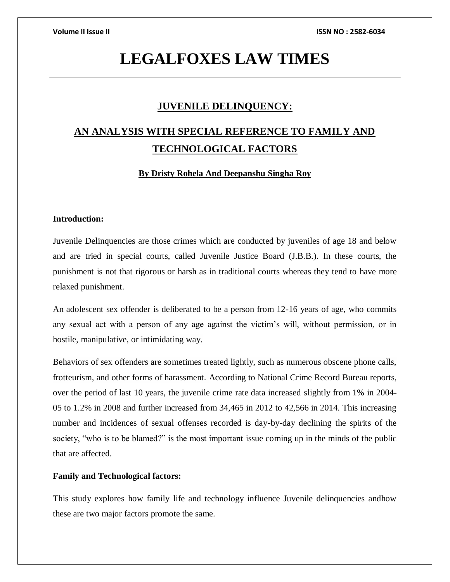# **LEGALFOXES LAW TIMES**

# **JUVENILE DELINQUENCY:**

# **AN ANALYSIS WITH SPECIAL REFERENCE TO FAMILY AND TECHNOLOGICAL FACTORS**

# **By Dristy Rohela And Deepanshu Singha Roy**

# **Introduction:**

Juvenile Delinquencies are those crimes which are conducted by juveniles of age 18 and below and are tried in special courts, called Juvenile Justice Board (J.B.B.). In these courts, the punishment is not that rigorous or harsh as in traditional courts whereas they tend to have more relaxed punishment.

An adolescent sex offender is deliberated to be a person from 12-16 years of age, who commits any sexual act with a person of any age against the victim's will, without permission, or in hostile, manipulative, or intimidating way.

Behaviors of sex offenders are sometimes treated lightly, such as numerous obscene phone calls, frotteurism, and other forms of harassment. According to National Crime Record Bureau reports, over the period of last 10 years, the juvenile crime rate data increased slightly from 1% in 2004- 05 to 1.2% in 2008 and further increased from 34,465 in 2012 to 42,566 in 2014. This increasing number and incidences of sexual offenses recorded is day-by-day declining the spirits of the society, "who is to be blamed?" is the most important issue coming up in the minds of the public that are affected.

# **Family and Technological factors:**

This study explores how family life and technology influence Juvenile delinquencies andhow these are two major factors promote the same.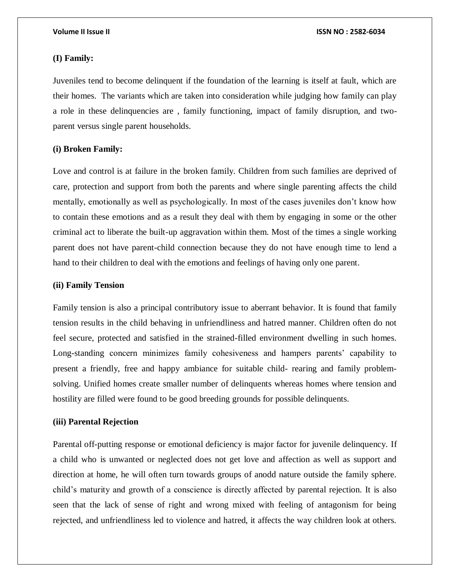# **(I) Family:**

Juveniles tend to become delinquent if the foundation of the learning is itself at fault, which are their homes. The variants which are taken into consideration while judging how family can play a role in these delinquencies are , family functioning, impact of family disruption, and twoparent versus single parent households.

# **(i) Broken Family:**

Love and control is at failure in the broken family. Children from such families are deprived of care, protection and support from both the parents and where single parenting affects the child mentally, emotionally as well as psychologically. In most of the cases juveniles don't know how to contain these emotions and as a result they deal with them by engaging in some or the other criminal act to liberate the built-up aggravation within them. Most of the times a single working parent does not have parent-child connection because they do not have enough time to lend a hand to their children to deal with the emotions and feelings of having only one parent.

### **(ii) Family Tension**

Family tension is also a principal contributory issue to aberrant behavior. It is found that family tension results in the child behaving in unfriendliness and hatred manner. Children often do not feel secure, protected and satisfied in the strained-filled environment dwelling in such homes. Long-standing concern minimizes family cohesiveness and hampers parents' capability to present a friendly, free and happy ambiance for suitable child- rearing and family problemsolving. Unified homes create smaller number of delinquents whereas homes where tension and hostility are filled were found to be good breeding grounds for possible delinquents.

## **(iii) Parental Rejection**

Parental off-putting response or emotional deficiency is major factor for juvenile delinquency. If a child who is unwanted or neglected does not get love and affection as well as support and direction at home, he will often turn towards groups of anodd nature outside the family sphere. child's maturity and growth of a conscience is directly affected by parental rejection. It is also seen that the lack of sense of right and wrong mixed with feeling of antagonism for being rejected, and unfriendliness led to violence and hatred, it affects the way children look at others.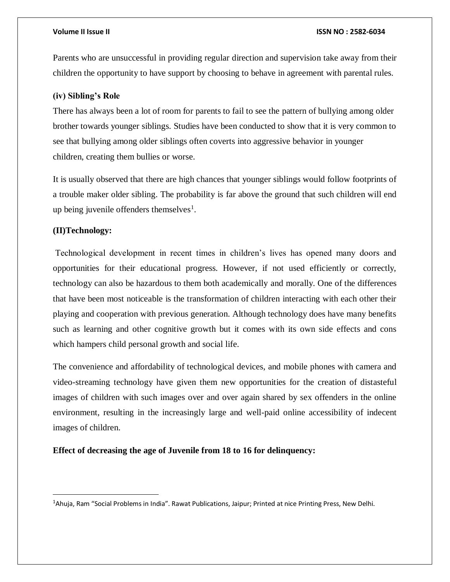### **Volume II Issue II ISSN NO : 2582-6034**

Parents who are unsuccessful in providing regular direction and supervision take away from their children the opportunity to have support by choosing to behave in agreement with parental rules.

# **(iv) Sibling's Role**

There has always been a lot of room for parents to fail to see the pattern of bullying among older brother towards younger siblings. Studies have been conducted to show that it is very common to see that bullying among older siblings often coverts into aggressive behavior in younger children, creating them bullies or worse.

It is usually observed that there are high chances that younger siblings would follow footprints of a trouble maker older sibling. The probability is far above the ground that such children will end up being juvenile offenders themselves<sup>1</sup>.

# **(II)Technology:**

 $\overline{\phantom{a}}$ 

Technological development in recent times in children's lives has opened many doors and opportunities for their educational progress. However, if not used efficiently or correctly, technology can also be hazardous to them both academically and morally. One of the differences that have been most noticeable is the transformation of children interacting with each other their playing and cooperation with previous generation. Although technology does have many benefits such as learning and other cognitive growth but it comes with its own side effects and cons which hampers child personal growth and social life.

The convenience and affordability of technological devices, and mobile phones with camera and video-streaming technology have given them new opportunities for the creation of distasteful images of children with such images over and over again shared by sex offenders in the online environment, resulting in the increasingly large and well-paid online accessibility of indecent images of children.

# **Effect of decreasing the age of Juvenile from 18 to 16 for delinquency:**

<sup>&</sup>lt;sup>1</sup>Ahuja, Ram "Social Problems in India". Rawat Publications, Jaipur; Printed at nice Printing Press, New Delhi.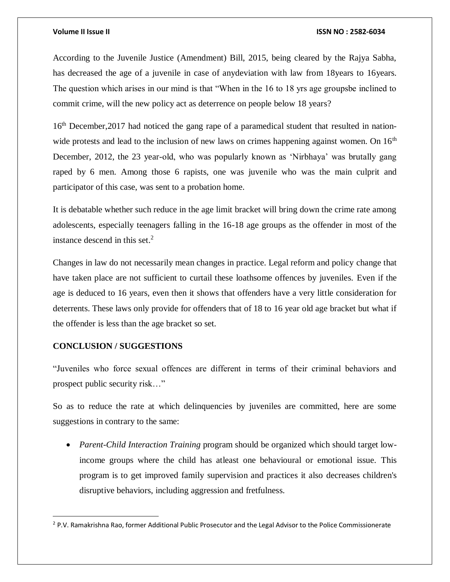### **Volume II Issue II ISSN NO : 2582-6034**

According to the Juvenile Justice (Amendment) Bill, 2015, being cleared by the Rajya Sabha, has decreased the age of a juvenile in case of anydeviation with law from 18years to 16years. The question which arises in our mind is that "When in the 16 to 18 yrs age groupsbe inclined to commit crime, will the new policy act as deterrence on people below 18 years?

16<sup>th</sup> December, 2017 had noticed the gang rape of a paramedical student that resulted in nationwide protests and lead to the inclusion of new laws on crimes happening against women. On  $16<sup>th</sup>$ December, 2012, the 23 year-old, who was popularly known as 'Nirbhaya' was brutally gang raped by 6 men. Among those 6 rapists, one was juvenile who was the main culprit and participator of this case, was sent to a probation home.

It is debatable whether such reduce in the age limit bracket will bring down the crime rate among adolescents, especially teenagers falling in the 16-18 age groups as the offender in most of the instance descend in this set. $^{2}$ 

Changes in law do not necessarily mean changes in practice. Legal reform and policy change that have taken place are not sufficient to curtail these loathsome offences by juveniles. Even if the age is deduced to 16 years, even then it shows that offenders have a very little consideration for deterrents. These laws only provide for offenders that of 18 to 16 year old age bracket but what if the offender is less than the age bracket so set.

## **CONCLUSION / SUGGESTIONS**

 $\overline{a}$ 

"Juveniles who force sexual offences are different in terms of their criminal behaviors and prospect public security risk…"

So as to reduce the rate at which delinquencies by juveniles are committed, here are some suggestions in contrary to the same:

 *Parent-Child Interaction Training* program should be organized which should target lowincome groups where the child has atleast one behavioural or emotional issue. This program is to get improved family supervision and practices it also decreases children's disruptive behaviors, including aggression and fretfulness.

<sup>&</sup>lt;sup>2</sup> P.V. Ramakrishna Rao, former Additional Public Prosecutor and the Legal Advisor to the Police Commissionerate